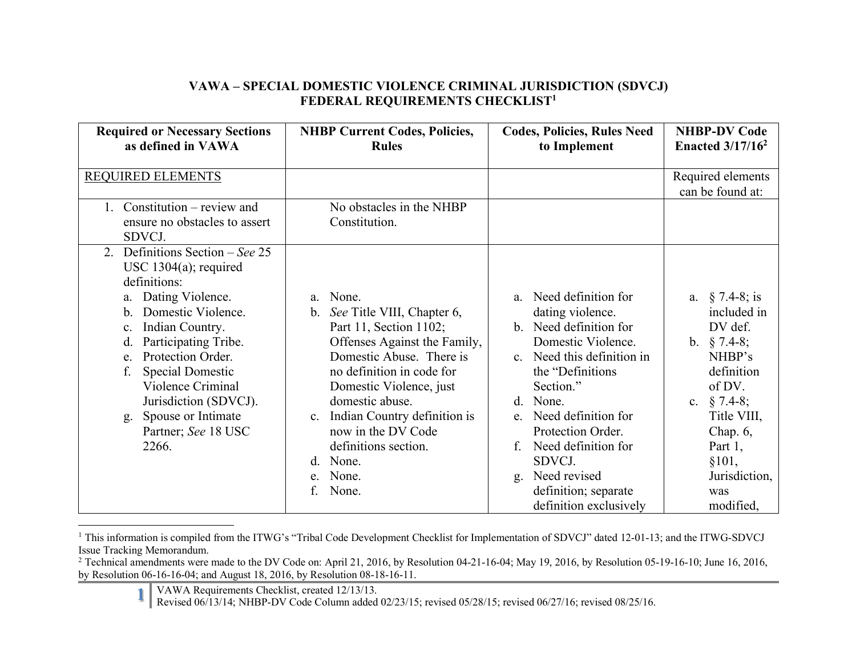## **VAWA – SPECIAL DOMESTIC VIOLENCE CRIMINAL JURISDICTION (SDVCJ) FEDERAL REQUIREMENTS CHECKLIST1**

| <b>Required or Necessary Sections</b><br>as defined in VAWA                                                                                                                                                                                                                                                                                                                                          | <b>NHBP Current Codes, Policies,</b><br><b>Rules</b>                                                                                                                                                                                                                                                                                                                     | <b>Codes, Policies, Rules Need</b><br>to Implement                                                                                                                                                                                                                                                                                            | <b>NHBP-DV Code</b><br>Enacted $3/17/16^2$                                                                                                                                                               |
|------------------------------------------------------------------------------------------------------------------------------------------------------------------------------------------------------------------------------------------------------------------------------------------------------------------------------------------------------------------------------------------------------|--------------------------------------------------------------------------------------------------------------------------------------------------------------------------------------------------------------------------------------------------------------------------------------------------------------------------------------------------------------------------|-----------------------------------------------------------------------------------------------------------------------------------------------------------------------------------------------------------------------------------------------------------------------------------------------------------------------------------------------|----------------------------------------------------------------------------------------------------------------------------------------------------------------------------------------------------------|
| <b>REQUIRED ELEMENTS</b><br>Constitution – review and<br>ensure no obstacles to assert<br>SDVCJ.                                                                                                                                                                                                                                                                                                     | No obstacles in the NHBP<br>Constitution.                                                                                                                                                                                                                                                                                                                                |                                                                                                                                                                                                                                                                                                                                               | Required elements<br>can be found at:                                                                                                                                                                    |
| Definitions Section - See 25<br>2.<br>USC $1304(a)$ ; required<br>definitions:<br>a. Dating Violence.<br>Domestic Violence.<br>$\mathbf b$ .<br>Indian Country.<br>$\mathbf{c}$ .<br>Participating Tribe.<br>$d$ .<br>Protection Order.<br>e <sub>1</sub><br>f.<br><b>Special Domestic</b><br>Violence Criminal<br>Jurisdiction (SDVCJ).<br>Spouse or Intimate<br>g.<br>Partner; See 18 USC<br>2266. | None.<br>$a_{-}$<br>b. See Title VIII, Chapter 6,<br>Part 11, Section 1102;<br>Offenses Against the Family,<br>Domestic Abuse. There is<br>no definition in code for<br>Domestic Violence, just<br>domestic abuse.<br>Indian Country definition is<br>$\mathbf{c}$ .<br>now in the DV Code<br>definitions section.<br>None.<br>d.<br>None.<br>e.<br>$f_{\cdot}$<br>None. | Need definition for<br>a<br>dating violence.<br>b. Need definition for<br>Domestic Violence.<br>c. Need this definition in<br>the "Definitions<br>Section."<br>d. None.<br>Need definition for<br>$e_{-}$<br>Protection Order.<br>Need definition for<br>f.<br>SDVCJ.<br>Need revised<br>g.<br>definition; separate<br>definition exclusively | a. $§ 7.4-8$ ; is<br>included in<br>DV def.<br>b. $§ 7.4-8;$<br>NHBP's<br>definition<br>of DV.<br>c. $\S$ 7.4-8;<br>Title VIII,<br>Chap. $6,$<br>Part $1,$<br>§101,<br>Jurisdiction,<br>was<br>modified, |

<sup>&</sup>lt;sup>1</sup> This information is compiled from the ITWG's "Tribal Code Development Checklist for Implementation of SDVCJ" dated 12-01-13; and the ITWG-SDVCJ Issue Tracking Memorandum.

<sup>&</sup>lt;sup>2</sup> Technical amendments were made to the DV Code on: April 21, 2016, by Resolution 04-21-16-04; May 19, 2016, by Resolution 05-19-16-10; June 16, 2016, by Resolution 06-16-16-04; and August 18, 2016, by Resolution 08-18-16-11.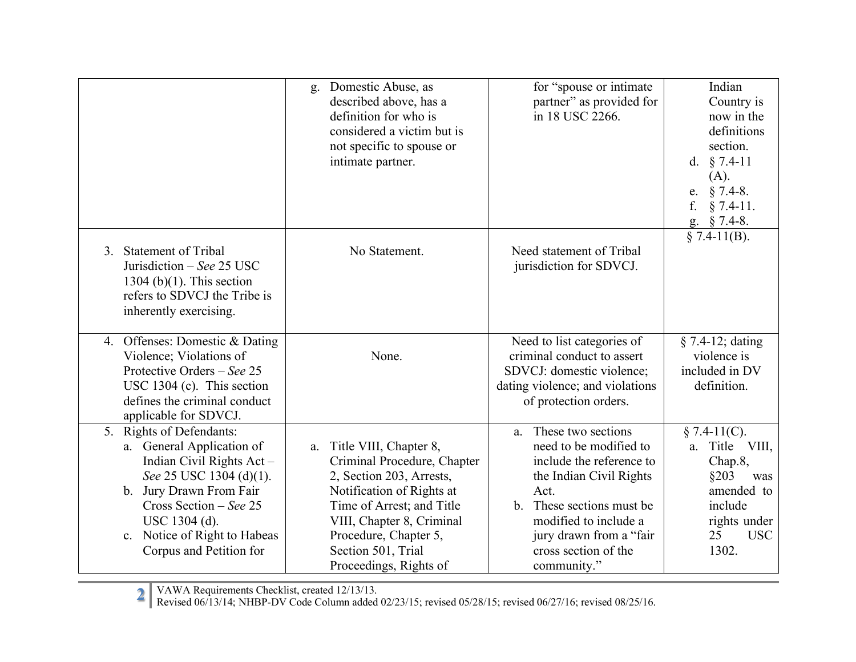|                                                                                                                                                                                                                                                  | Domestic Abuse, as<br>g.<br>described above, has a<br>definition for who is<br>considered a victim but is<br>not specific to spouse or<br>intimate partner.                                                                                             | for "spouse or intimate<br>partner" as provided for<br>in 18 USC 2266.                                                                                                                                                                   | Indian<br>Country is<br>now in the<br>definitions<br>section.<br>d. $§ 7.4-11$<br>(A).<br>$§ 7.4-8.$<br>e.<br>f.<br>$§ 7.4-11.$<br>g. § 7.4-8. |
|--------------------------------------------------------------------------------------------------------------------------------------------------------------------------------------------------------------------------------------------------|---------------------------------------------------------------------------------------------------------------------------------------------------------------------------------------------------------------------------------------------------------|------------------------------------------------------------------------------------------------------------------------------------------------------------------------------------------------------------------------------------------|------------------------------------------------------------------------------------------------------------------------------------------------|
| 3. Statement of Tribal<br>Jurisdiction $-$ See 25 USC<br>$1304$ (b)(1). This section<br>refers to SDVCJ the Tribe is<br>inherently exercising.                                                                                                   | No Statement.                                                                                                                                                                                                                                           | Need statement of Tribal<br>jurisdiction for SDVCJ.                                                                                                                                                                                      | $§ 7.4-11(B).$                                                                                                                                 |
| 4. Offenses: Domestic & Dating<br>Violence; Violations of<br>Protective Orders – See 25<br>USC 1304 (c). This section<br>defines the criminal conduct<br>applicable for SDVCJ.                                                                   | None.                                                                                                                                                                                                                                                   | Need to list categories of<br>criminal conduct to assert<br>SDVCJ: domestic violence;<br>dating violence; and violations<br>of protection orders.                                                                                        | $§ 7.4-12; dating$<br>violence is<br>included in DV<br>definition.                                                                             |
| 5. Rights of Defendants:<br>a. General Application of<br>Indian Civil Rights Act -<br>See 25 USC 1304 (d)(1).<br>b. Jury Drawn From Fair<br>Cross Section $-$ See 25<br>USC 1304 (d).<br>c. Notice of Right to Habeas<br>Corpus and Petition for | Title VIII, Chapter 8,<br>a.<br>Criminal Procedure, Chapter<br>2, Section 203, Arrests,<br>Notification of Rights at<br>Time of Arrest; and Title<br>VIII, Chapter 8, Criminal<br>Procedure, Chapter 5,<br>Section 501, Trial<br>Proceedings, Rights of | a. These two sections<br>need to be modified to<br>include the reference to<br>the Indian Civil Rights<br>Act.<br>These sections must be<br>h<br>modified to include a<br>jury drawn from a "fair<br>cross section of the<br>community." | $§ 7.4-11(C).$<br>a. Title VIII,<br>Chap.8,<br>§203<br>was<br>amended to<br>include<br>rights under<br>25<br><b>USC</b><br>1302.               |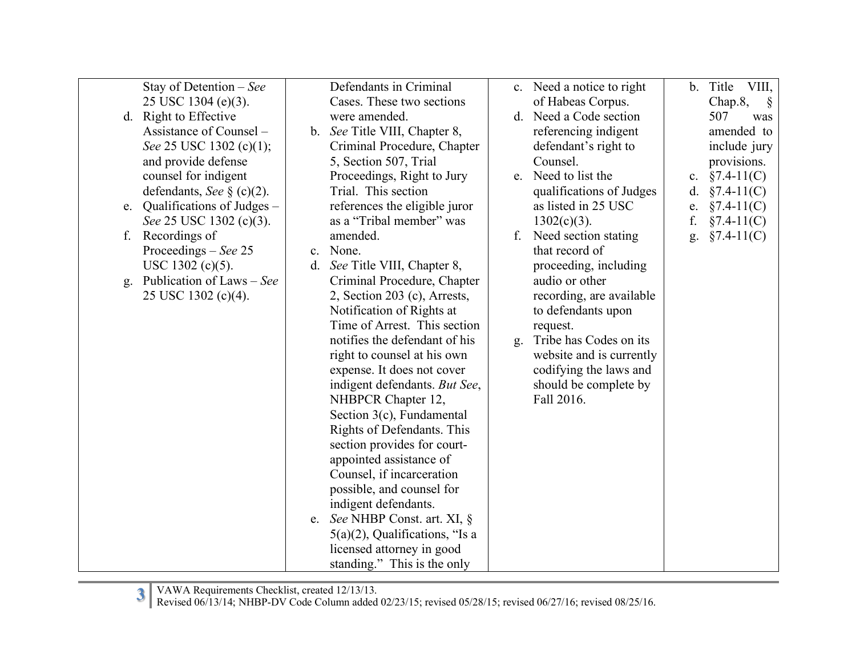| Stay of Detention – See         |                | Defendants in Criminal            |    | c. Need a notice to right | $\mathbf{b}$ . | VIII,<br>Title          |
|---------------------------------|----------------|-----------------------------------|----|---------------------------|----------------|-------------------------|
| 25 USC 1304 (e)(3).             |                | Cases. These two sections         |    | of Habeas Corpus.         |                | Chap.8,<br><sup>§</sup> |
| d. Right to Effective           |                | were amended.                     |    | d. Need a Code section    |                | 507<br>was              |
| Assistance of Counsel -         |                | b. See Title VIII, Chapter 8,     |    | referencing indigent      |                | amended to              |
| See 25 USC 1302 (c)(1);         |                | Criminal Procedure, Chapter       |    | defendant's right to      |                | include jury            |
| and provide defense             |                | 5, Section 507, Trial             |    | Counsel.                  |                | provisions.             |
| counsel for indigent            |                | Proceedings, Right to Jury        |    | e. Need to list the       |                | c. $§7.4-11(C)$         |
| defendants, See § (c)(2).       |                | Trial. This section               |    | qualifications of Judges  | d.             | $§7.4-11(C)$            |
| e. Qualifications of Judges $-$ |                | references the eligible juror     |    | as listed in 25 USC       | e.             | $§7.4-11(C)$            |
| See 25 USC 1302 (c)(3).         |                | as a "Tribal member" was          |    | $1302(c)(3)$ .            | f.             | $§7.4-11(C)$            |
| f. Recordings of                |                | amended.                          | f. | Need section stating      | g.             | $§7.4-11(C)$            |
| Proceedings $-$ <i>See</i> 25   | $\mathbf{c}$ . | None.                             |    | that record of            |                |                         |
| $USC 1302 (c)(5)$ .             | d.             | See Title VIII, Chapter 8,        |    | proceeding, including     |                |                         |
| Publication of Laws – See<br>g. |                | Criminal Procedure, Chapter       |    | audio or other            |                |                         |
| 25 USC 1302 (c)(4).             |                | 2, Section 203 (c), Arrests,      |    | recording, are available  |                |                         |
|                                 |                | Notification of Rights at         |    | to defendants upon        |                |                         |
|                                 |                | Time of Arrest. This section      |    | request.                  |                |                         |
|                                 |                | notifies the defendant of his     | g. | Tribe has Codes on its    |                |                         |
|                                 |                | right to counsel at his own       |    | website and is currently  |                |                         |
|                                 |                | expense. It does not cover        |    | codifying the laws and    |                |                         |
|                                 |                | indigent defendants. But See,     |    | should be complete by     |                |                         |
|                                 |                | NHBPCR Chapter 12,                |    | Fall 2016.                |                |                         |
|                                 |                | Section 3(c), Fundamental         |    |                           |                |                         |
|                                 |                | Rights of Defendants. This        |    |                           |                |                         |
|                                 |                | section provides for court-       |    |                           |                |                         |
|                                 |                | appointed assistance of           |    |                           |                |                         |
|                                 |                | Counsel, if incarceration         |    |                           |                |                         |
|                                 |                | possible, and counsel for         |    |                           |                |                         |
|                                 |                | indigent defendants.              |    |                           |                |                         |
|                                 | e.             | See NHBP Const. art. XI, §        |    |                           |                |                         |
|                                 |                | $5(a)(2)$ , Qualifications, "Is a |    |                           |                |                         |
|                                 |                | licensed attorney in good         |    |                           |                |                         |
|                                 |                | standing." This is the only       |    |                           |                |                         |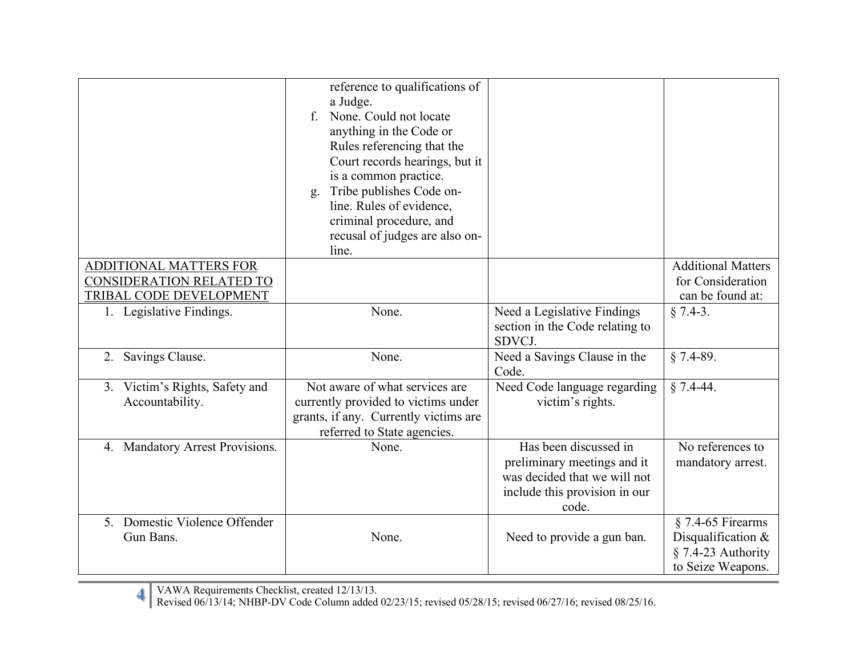|                                                                               | reference to qualifications of<br>a Judge.<br>None. Could not locate<br>$\mathbf{f}$<br>anything in the Code or<br>Rules referencing that the<br>Court records hearings, but it<br>is a common practice.<br>Tribe publishes Code on-<br>g.<br>line. Rules of evidence,<br>criminal procedure, and<br>recusal of judges are also on-<br>line. |                                                                                                                                |                                                                                        |
|-------------------------------------------------------------------------------|----------------------------------------------------------------------------------------------------------------------------------------------------------------------------------------------------------------------------------------------------------------------------------------------------------------------------------------------|--------------------------------------------------------------------------------------------------------------------------------|----------------------------------------------------------------------------------------|
| ADDITIONAL MATTERS FOR<br>CONSIDERATION RELATED TO<br>TRIBAL CODE DEVELOPMENT |                                                                                                                                                                                                                                                                                                                                              |                                                                                                                                | <b>Additional Matters</b><br>for Consideration<br>can be found at:                     |
| 1. Legislative Findings.                                                      | None.                                                                                                                                                                                                                                                                                                                                        | Need a Legislative Findings<br>section in the Code relating to<br>SDVCJ.                                                       | $§ 7.4-3.$                                                                             |
| Savings Clause.<br>2.                                                         | None.                                                                                                                                                                                                                                                                                                                                        | Need a Savings Clause in the<br>Code.                                                                                          | $§ 7.4-89.$                                                                            |
| 3. Victim's Rights, Safety and<br>Accountability.                             | Not aware of what services are<br>currently provided to victims under<br>grants, if any. Currently victims are<br>referred to State agencies.                                                                                                                                                                                                | Need Code language regarding<br>victim's rights.                                                                               | $§ 7.4-44.$                                                                            |
| 4. Mandatory Arrest Provisions.                                               | None.                                                                                                                                                                                                                                                                                                                                        | Has been discussed in<br>preliminary meetings and it<br>was decided that we will not<br>include this provision in our<br>code. | No references to<br>mandatory arrest.                                                  |
| 5. Domestic Violence Offender<br>Gun Bans.                                    | None.                                                                                                                                                                                                                                                                                                                                        | Need to provide a gun ban.                                                                                                     | $§$ 7.4-65 Firearms<br>Disqualification &<br>$§ 7.4-23$ Authority<br>to Seize Weapons. |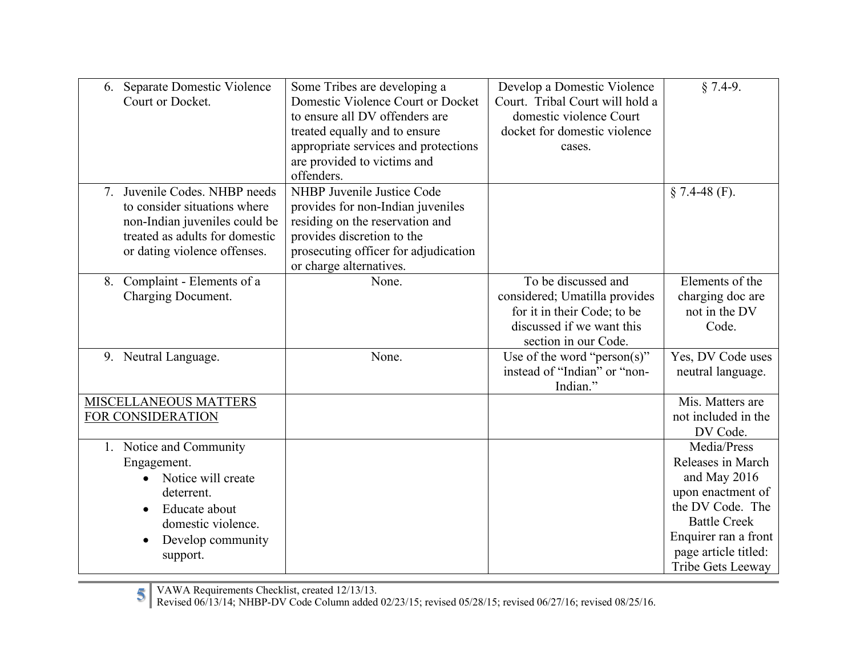| 6. Separate Domestic Violence<br>Court or Docket. | Some Tribes are developing a<br>Domestic Violence Court or Docket<br>to ensure all DV offenders are | Develop a Domestic Violence<br>Court. Tribal Court will hold a<br>domestic violence Court | $§ 7.4-9.$           |
|---------------------------------------------------|-----------------------------------------------------------------------------------------------------|-------------------------------------------------------------------------------------------|----------------------|
|                                                   | treated equally and to ensure                                                                       | docket for domestic violence                                                              |                      |
|                                                   | appropriate services and protections                                                                | cases.                                                                                    |                      |
|                                                   | are provided to victims and                                                                         |                                                                                           |                      |
|                                                   | offenders.                                                                                          |                                                                                           |                      |
| 7. Juvenile Codes. NHBP needs                     | NHBP Juvenile Justice Code                                                                          |                                                                                           | $§ 7.4-48$ (F).      |
| to consider situations where                      | provides for non-Indian juveniles                                                                   |                                                                                           |                      |
| non-Indian juveniles could be                     | residing on the reservation and                                                                     |                                                                                           |                      |
| treated as adults for domestic                    | provides discretion to the                                                                          |                                                                                           |                      |
| or dating violence offenses.                      | prosecuting officer for adjudication                                                                |                                                                                           |                      |
|                                                   | or charge alternatives.                                                                             |                                                                                           |                      |
| 8. Complaint - Elements of a                      | None.                                                                                               | To be discussed and                                                                       | Elements of the      |
| Charging Document.                                |                                                                                                     | considered; Umatilla provides                                                             | charging doc are     |
|                                                   |                                                                                                     | for it in their Code; to be                                                               | not in the DV        |
|                                                   |                                                                                                     | discussed if we want this                                                                 | Code.                |
|                                                   |                                                                                                     | section in our Code.                                                                      |                      |
| 9. Neutral Language.                              | None.                                                                                               | Use of the word "person(s)"                                                               | Yes, DV Code uses    |
|                                                   |                                                                                                     | instead of "Indian" or "non-                                                              | neutral language.    |
|                                                   |                                                                                                     | Indian."                                                                                  |                      |
| MISCELLANEOUS MATTERS                             |                                                                                                     |                                                                                           | Mis. Matters are     |
| FOR CONSIDERATION                                 |                                                                                                     |                                                                                           | not included in the  |
|                                                   |                                                                                                     |                                                                                           | DV Code.             |
| 1. Notice and Community                           |                                                                                                     |                                                                                           | Media/Press          |
| Engagement.                                       |                                                                                                     |                                                                                           | Releases in March    |
| Notice will create<br>$\bullet$                   |                                                                                                     |                                                                                           | and May 2016         |
| deterrent.                                        |                                                                                                     |                                                                                           | upon enactment of    |
| Educate about<br>$\bullet$                        |                                                                                                     |                                                                                           | the DV Code. The     |
| domestic violence.                                |                                                                                                     |                                                                                           | <b>Battle Creek</b>  |
| Develop community<br>$\bullet$                    |                                                                                                     |                                                                                           | Enquirer ran a front |
| support.                                          |                                                                                                     |                                                                                           | page article titled: |
|                                                   |                                                                                                     |                                                                                           | Tribe Gets Leeway    |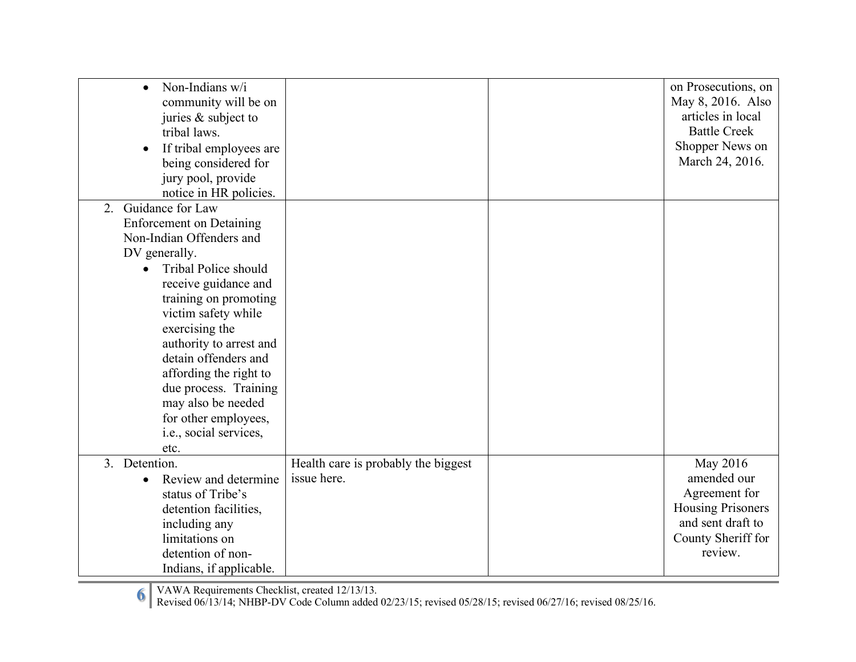| Non-Indians w/i<br>$\bullet$<br>community will be on<br>juries & subject to<br>tribal laws.<br>If tribal employees are<br>$\bullet$<br>being considered for<br>jury pool, provide<br>notice in HR policies.                                                                                                                                                                                                 |                                                    | on Prosecutions, on<br>May 8, 2016. Also<br>articles in local<br><b>Battle Creek</b><br>Shopper News on<br>March 24, 2016. |
|-------------------------------------------------------------------------------------------------------------------------------------------------------------------------------------------------------------------------------------------------------------------------------------------------------------------------------------------------------------------------------------------------------------|----------------------------------------------------|----------------------------------------------------------------------------------------------------------------------------|
| 2. Guidance for Law<br><b>Enforcement</b> on Detaining<br>Non-Indian Offenders and<br>DV generally.<br>Tribal Police should<br>receive guidance and<br>training on promoting<br>victim safety while<br>exercising the<br>authority to arrest and<br>detain offenders and<br>affording the right to<br>due process. Training<br>may also be needed<br>for other employees,<br>i.e., social services,<br>etc. |                                                    |                                                                                                                            |
| 3. Detention.<br>Review and determine<br>status of Tribe's<br>detention facilities,<br>including any<br>limitations on<br>detention of non-<br>Indians, if applicable.                                                                                                                                                                                                                                      | Health care is probably the biggest<br>issue here. | May 2016<br>amended our<br>Agreement for<br><b>Housing Prisoners</b><br>and sent draft to<br>County Sheriff for<br>review. |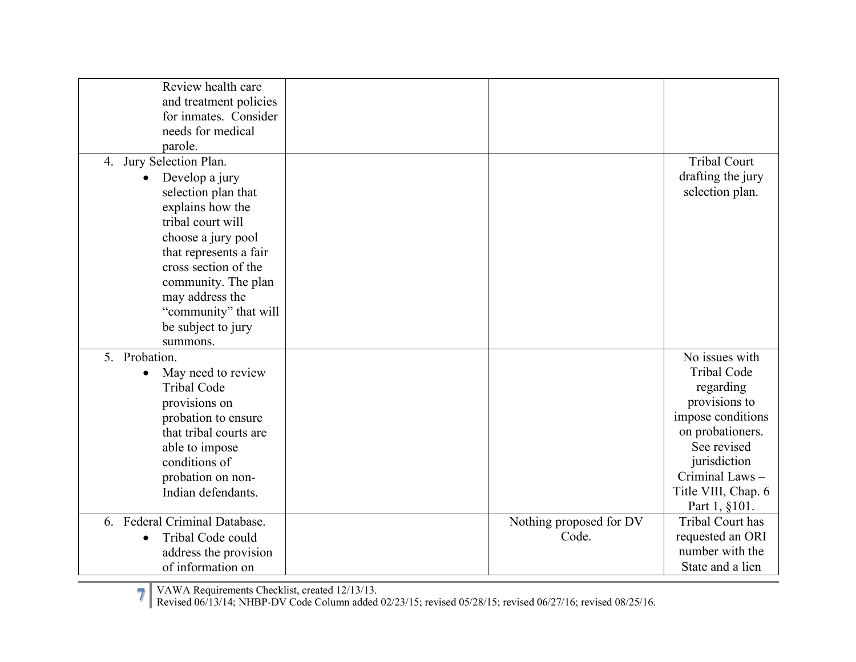| Review health care              |                         |                         |
|---------------------------------|-------------------------|-------------------------|
| and treatment policies          |                         |                         |
| for inmates. Consider           |                         |                         |
| needs for medical               |                         |                         |
| parole.                         |                         |                         |
| 4. Jury Selection Plan.         |                         | <b>Tribal Court</b>     |
| Develop a jury<br>$\bullet$     |                         | drafting the jury       |
| selection plan that             |                         | selection plan.         |
| explains how the                |                         |                         |
| tribal court will               |                         |                         |
| choose a jury pool              |                         |                         |
| that represents a fair          |                         |                         |
| cross section of the            |                         |                         |
| community. The plan             |                         |                         |
| may address the                 |                         |                         |
| "community" that will           |                         |                         |
| be subject to jury              |                         |                         |
| summons.                        |                         |                         |
| 5. Probation.                   |                         | No issues with          |
| May need to review<br>$\bullet$ |                         | <b>Tribal Code</b>      |
| <b>Tribal Code</b>              |                         | regarding               |
| provisions on                   |                         | provisions to           |
| probation to ensure             |                         | impose conditions       |
| that tribal courts are          |                         | on probationers.        |
| able to impose                  |                         | See revised             |
| conditions of                   |                         | jurisdiction            |
| probation on non-               |                         | Criminal Laws-          |
| Indian defendants.              |                         | Title VIII, Chap. 6     |
|                                 |                         | Part 1, §101.           |
| 6. Federal Criminal Database.   | Nothing proposed for DV | <b>Tribal Court has</b> |
| Tribal Code could<br>$\bullet$  | Code.                   | requested an ORI        |
| address the provision           |                         | number with the         |
| of information on               |                         | State and a lien        |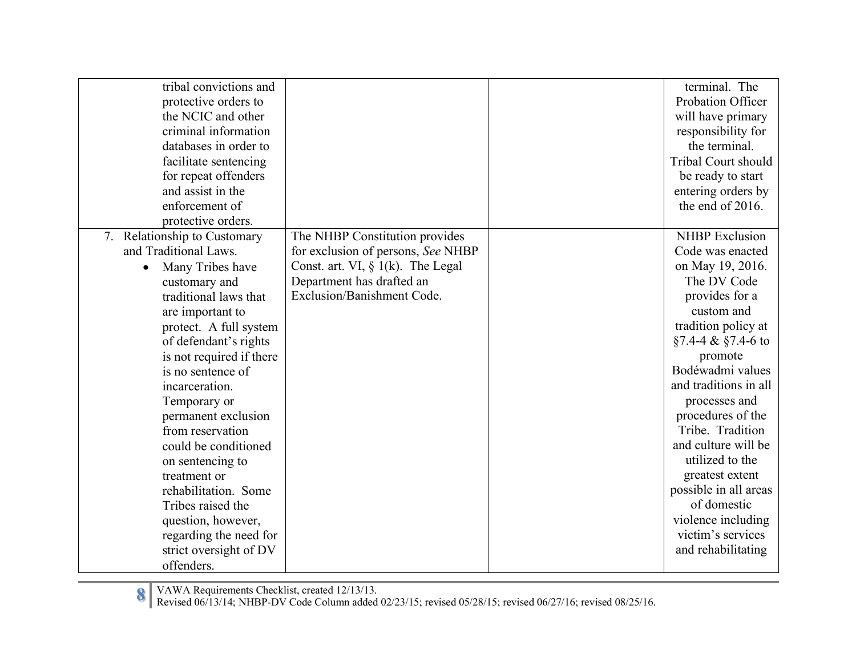| tribal convictions and<br>protective orders to<br>the NCIC and other<br>criminal information<br>databases in order to<br>facilitate sentencing<br>for repeat offenders<br>and assist in the<br>enforcement of<br>protective orders.                                                                                                                                                                                                                                                                                                    |                                                                                                                                                                         | terminal. The<br>Probation Officer<br>will have primary<br>responsibility for<br>the terminal.<br><b>Tribal Court should</b><br>be ready to start<br>entering orders by<br>the end of 2016.                                                                                                                                                                                                                                                           |
|----------------------------------------------------------------------------------------------------------------------------------------------------------------------------------------------------------------------------------------------------------------------------------------------------------------------------------------------------------------------------------------------------------------------------------------------------------------------------------------------------------------------------------------|-------------------------------------------------------------------------------------------------------------------------------------------------------------------------|-------------------------------------------------------------------------------------------------------------------------------------------------------------------------------------------------------------------------------------------------------------------------------------------------------------------------------------------------------------------------------------------------------------------------------------------------------|
| 7. Relationship to Customary<br>and Traditional Laws.<br>Many Tribes have<br>$\bullet$<br>customary and<br>traditional laws that<br>are important to<br>protect. A full system<br>of defendant's rights<br>is not required if there<br>is no sentence of<br>incarceration.<br>Temporary or<br>permanent exclusion<br>from reservation<br>could be conditioned<br>on sentencing to<br>treatment or<br>rehabilitation. Some<br>Tribes raised the<br>question, however,<br>regarding the need for<br>strict oversight of DV<br>offenders. | The NHBP Constitution provides<br>for exclusion of persons, See NHBP<br>Const. art. VI, $\S$ 1(k). The Legal<br>Department has drafted an<br>Exclusion/Banishment Code. | <b>NHBP</b> Exclusion<br>Code was enacted<br>on May 19, 2016.<br>The DV Code<br>provides for a<br>custom and<br>tradition policy at<br>$§7.4-4 \& \$7.4-6$ to<br>promote<br>Bodéwadmi values<br>and traditions in all<br>processes and<br>procedures of the<br>Tribe. Tradition<br>and culture will be<br>utilized to the<br>greatest extent<br>possible in all areas<br>of domestic<br>violence including<br>victim's services<br>and rehabilitating |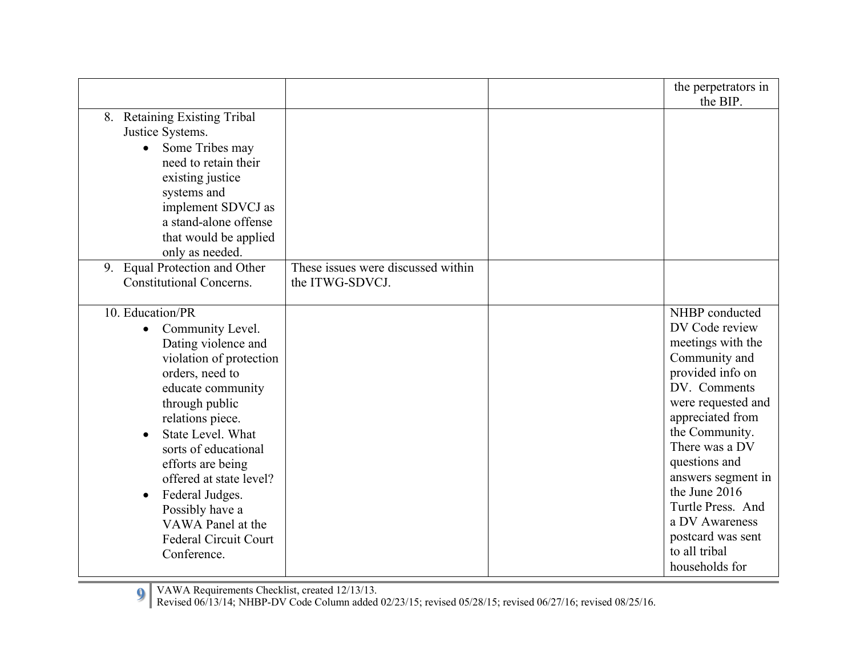|                                                                                                                                                                                                                                                                                                                                                                                            |                                    | the perpetrators in<br>the BIP.                                                                                                                                                                                                                                                                                                                 |
|--------------------------------------------------------------------------------------------------------------------------------------------------------------------------------------------------------------------------------------------------------------------------------------------------------------------------------------------------------------------------------------------|------------------------------------|-------------------------------------------------------------------------------------------------------------------------------------------------------------------------------------------------------------------------------------------------------------------------------------------------------------------------------------------------|
| 8. Retaining Existing Tribal<br>Justice Systems.<br>Some Tribes may<br>$\bullet$<br>need to retain their<br>existing justice<br>systems and<br>implement SDVCJ as<br>a stand-alone offense<br>that would be applied<br>only as needed.<br>9. Equal Protection and Other                                                                                                                    | These issues were discussed within |                                                                                                                                                                                                                                                                                                                                                 |
| <b>Constitutional Concerns.</b>                                                                                                                                                                                                                                                                                                                                                            | the ITWG-SDVCJ.                    |                                                                                                                                                                                                                                                                                                                                                 |
| 10. Education/PR<br>• Community Level.<br>Dating violence and<br>violation of protection<br>orders, need to<br>educate community<br>through public<br>relations piece.<br>State Level. What<br>sorts of educational<br>efforts are being<br>offered at state level?<br>Federal Judges.<br>$\bullet$<br>Possibly have a<br>VAWA Panel at the<br><b>Federal Circuit Court</b><br>Conference. |                                    | NHBP conducted<br>DV Code review<br>meetings with the<br>Community and<br>provided info on<br>DV. Comments<br>were requested and<br>appreciated from<br>the Community.<br>There was a DV<br>questions and<br>answers segment in<br>the June 2016<br>Turtle Press. And<br>a DV Awareness<br>postcard was sent<br>to all tribal<br>households for |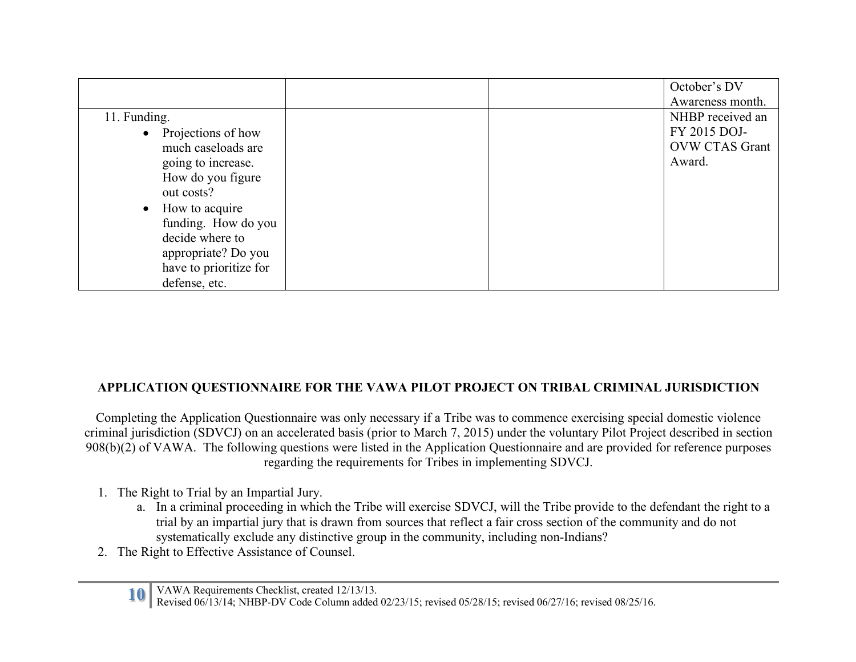|                        |  | October's DV          |
|------------------------|--|-----------------------|
|                        |  | Awareness month.      |
| 11. Funding.           |  | NHBP received an      |
| • Projections of how   |  | FY 2015 DOJ-          |
| much caseloads are     |  | <b>OVW CTAS Grant</b> |
| going to increase.     |  | Award.                |
| How do you figure      |  |                       |
| out costs?             |  |                       |
| • How to acquire       |  |                       |
| funding. How do you    |  |                       |
| decide where to        |  |                       |
| appropriate? Do you    |  |                       |
| have to prioritize for |  |                       |
| defense, etc.          |  |                       |

## **APPLICATION QUESTIONNAIRE FOR THE VAWA PILOT PROJECT ON TRIBAL CRIMINAL JURISDICTION**

Completing the Application Questionnaire was only necessary if a Tribe was to commence exercising special domestic violence criminal jurisdiction (SDVCJ) on an accelerated basis (prior to March 7, 2015) under the voluntary Pilot Project described in section 908(b)(2) of VAWA. The following questions were listed in the Application Questionnaire and are provided for reference purposes regarding the requirements for Tribes in implementing SDVCJ.

- 1. The Right to Trial by an Impartial Jury.
	- a. In a criminal proceeding in which the Tribe will exercise SDVCJ, will the Tribe provide to the defendant the right to a trial by an impartial jury that is drawn from sources that reflect a fair cross section of the community and do not systematically exclude any distinctive group in the community, including non-Indians?
- 2. The Right to Effective Assistance of Counsel.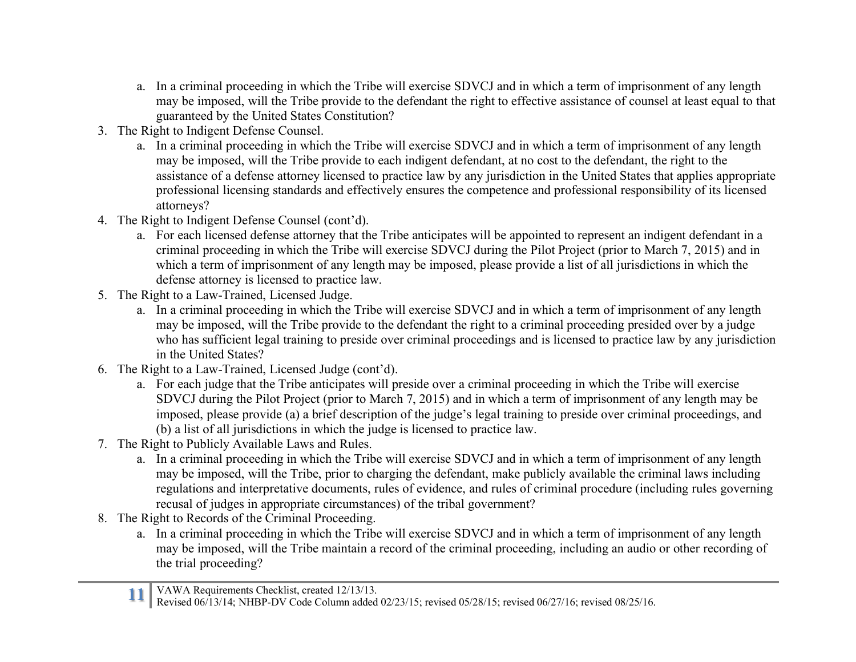- a. In a criminal proceeding in which the Tribe will exercise SDVCJ and in which a term of imprisonment of any length may be imposed, will the Tribe provide to the defendant the right to effective assistance of counsel at least equal to that guaranteed by the United States Constitution?
- 3. The Right to Indigent Defense Counsel.
	- a. In a criminal proceeding in which the Tribe will exercise SDVCJ and in which a term of imprisonment of any length may be imposed, will the Tribe provide to each indigent defendant, at no cost to the defendant, the right to the assistance of a defense attorney licensed to practice law by any jurisdiction in the United States that applies appropriate professional licensing standards and effectively ensures the competence and professional responsibility of its licensed attorneys?
- 4. The Right to Indigent Defense Counsel (cont'd).
	- a. For each licensed defense attorney that the Tribe anticipates will be appointed to represent an indigent defendant in a criminal proceeding in which the Tribe will exercise SDVCJ during the Pilot Project (prior to March 7, 2015) and in which a term of imprisonment of any length may be imposed, please provide a list of all jurisdictions in which the defense attorney is licensed to practice law.
- 5. The Right to a Law-Trained, Licensed Judge.
	- a. In a criminal proceeding in which the Tribe will exercise SDVCJ and in which a term of imprisonment of any length may be imposed, will the Tribe provide to the defendant the right to a criminal proceeding presided over by a judge who has sufficient legal training to preside over criminal proceedings and is licensed to practice law by any jurisdiction in the United States?
- 6. The Right to a Law-Trained, Licensed Judge (cont'd).
	- a. For each judge that the Tribe anticipates will preside over a criminal proceeding in which the Tribe will exercise SDVCJ during the Pilot Project (prior to March 7, 2015) and in which a term of imprisonment of any length may be imposed, please provide (a) a brief description of the judge's legal training to preside over criminal proceedings, and (b) a list of all jurisdictions in which the judge is licensed to practice law.
- 7. The Right to Publicly Available Laws and Rules.
	- a. In a criminal proceeding in which the Tribe will exercise SDVCJ and in which a term of imprisonment of any length may be imposed, will the Tribe, prior to charging the defendant, make publicly available the criminal laws including regulations and interpretative documents, rules of evidence, and rules of criminal procedure (including rules governing recusal of judges in appropriate circumstances) of the tribal government?
- 8. The Right to Records of the Criminal Proceeding.
	- a. In a criminal proceeding in which the Tribe will exercise SDVCJ and in which a term of imprisonment of any length may be imposed, will the Tribe maintain a record of the criminal proceeding, including an audio or other recording of the trial proceeding?

Revised 06/13/14; NHBP-DV Code Column added 02/23/15; revised 05/28/15; revised 06/27/16; revised 08/25/16.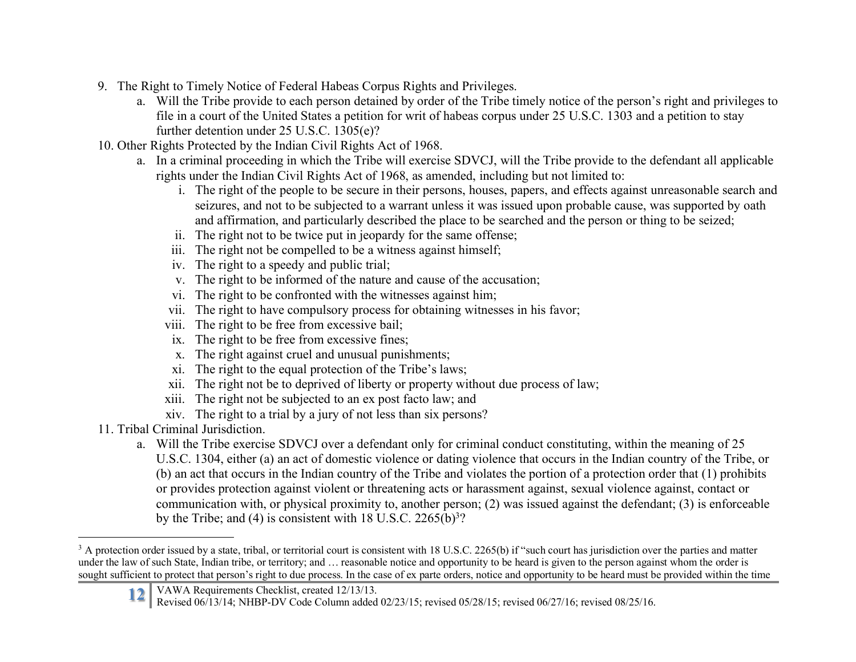- 9. The Right to Timely Notice of Federal Habeas Corpus Rights and Privileges.
	- a. Will the Tribe provide to each person detained by order of the Tribe timely notice of the person's right and privileges to file in a court of the United States a petition for writ of habeas corpus under 25 U.S.C. 1303 and a petition to stay further detention under 25 U.S.C. 1305(e)?
- 10. Other Rights Protected by the Indian Civil Rights Act of 1968.
	- a. In a criminal proceeding in which the Tribe will exercise SDVCJ, will the Tribe provide to the defendant all applicable rights under the Indian Civil Rights Act of 1968, as amended, including but not limited to:
		- i. The right of the people to be secure in their persons, houses, papers, and effects against unreasonable search and seizures, and not to be subjected to a warrant unless it was issued upon probable cause, was supported by oath and affirmation, and particularly described the place to be searched and the person or thing to be seized;
		- ii. The right not to be twice put in jeopardy for the same offense;
		- iii. The right not be compelled to be a witness against himself;
		- iv. The right to a speedy and public trial;
		- v. The right to be informed of the nature and cause of the accusation;
		- vi. The right to be confronted with the witnesses against him;
		- vii. The right to have compulsory process for obtaining witnesses in his favor;
		- viii. The right to be free from excessive bail;
		- ix. The right to be free from excessive fines;
		- x. The right against cruel and unusual punishments;
		- xi. The right to the equal protection of the Tribe's laws;
		- xii. The right not be to deprived of liberty or property without due process of law;
		- xiii. The right not be subjected to an ex post facto law; and
		- xiv. The right to a trial by a jury of not less than six persons?
- 11. Tribal Criminal Jurisdiction.
	- a. Will the Tribe exercise SDVCJ over a defendant only for criminal conduct constituting, within the meaning of 25 U.S.C. 1304, either (a) an act of domestic violence or dating violence that occurs in the Indian country of the Tribe, or (b) an act that occurs in the Indian country of the Tribe and violates the portion of a protection order that (1) prohibits or provides protection against violent or threatening acts or harassment against, sexual violence against, contact or communication with, or physical proximity to, another person; (2) was issued against the defendant; (3) is enforceable by the Tribe; and (4) is consistent with  $18$  U.S.C. 2265(b)<sup>3</sup>?

<sup>&</sup>lt;sup>3</sup> A protection order issued by a state, tribal, or territorial court is consistent with 18 U.S.C. 2265(b) if "such court has jurisdiction over the parties and matter under the law of such State, Indian tribe, or territory; and … reasonable notice and opportunity to be heard is given to the person against whom the order is sought sufficient to protect that person's right to due process. In the case of ex parte orders, notice and opportunity to be heard must be provided within the time

**<sup>12</sup>** VAWA Requirements Checklist, created 12/13/13. Revised 06/13/14; NHBP-DV Code Column added 02/23/15; revised 05/28/15; revised 06/27/16; revised 08/25/16.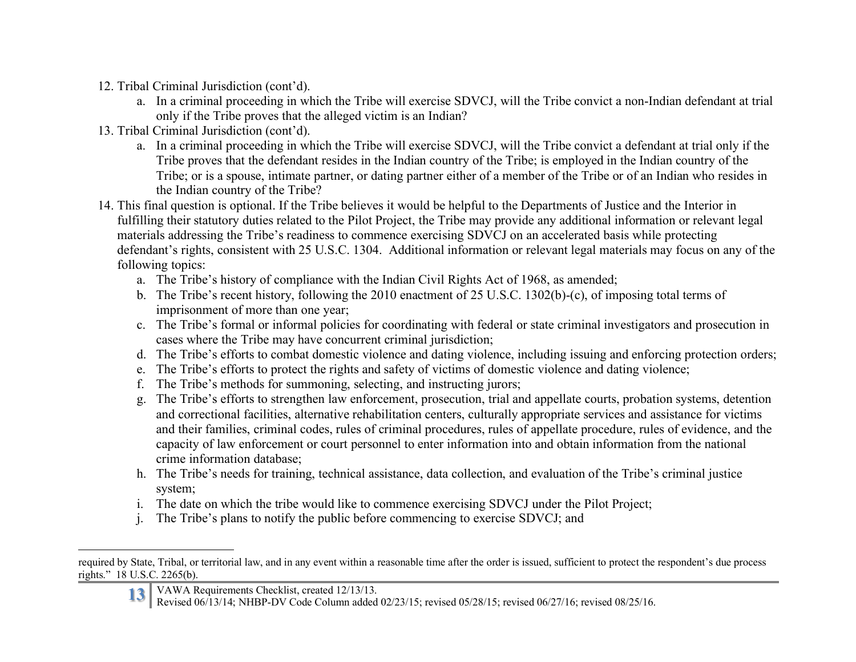- 12. Tribal Criminal Jurisdiction (cont'd).
	- a. In a criminal proceeding in which the Tribe will exercise SDVCJ, will the Tribe convict a non-Indian defendant at trial only if the Tribe proves that the alleged victim is an Indian?
- 13. Tribal Criminal Jurisdiction (cont'd).
	- a. In a criminal proceeding in which the Tribe will exercise SDVCJ, will the Tribe convict a defendant at trial only if the Tribe proves that the defendant resides in the Indian country of the Tribe; is employed in the Indian country of the Tribe; or is a spouse, intimate partner, or dating partner either of a member of the Tribe or of an Indian who resides in the Indian country of the Tribe?
- 14. This final question is optional. If the Tribe believes it would be helpful to the Departments of Justice and the Interior in fulfilling their statutory duties related to the Pilot Project, the Tribe may provide any additional information or relevant legal materials addressing the Tribe's readiness to commence exercising SDVCJ on an accelerated basis while protecting defendant's rights, consistent with 25 U.S.C. 1304. Additional information or relevant legal materials may focus on any of the following topics:
	- a. The Tribe's history of compliance with the Indian Civil Rights Act of 1968, as amended;
	- b. The Tribe's recent history, following the 2010 enactment of 25 U.S.C. 1302(b)-(c), of imposing total terms of imprisonment of more than one year;
	- c. The Tribe's formal or informal policies for coordinating with federal or state criminal investigators and prosecution in cases where the Tribe may have concurrent criminal jurisdiction;
	- d. The Tribe's efforts to combat domestic violence and dating violence, including issuing and enforcing protection orders;
	- e. The Tribe's efforts to protect the rights and safety of victims of domestic violence and dating violence;
	- f. The Tribe's methods for summoning, selecting, and instructing jurors;
	- g. The Tribe's efforts to strengthen law enforcement, prosecution, trial and appellate courts, probation systems, detention and correctional facilities, alternative rehabilitation centers, culturally appropriate services and assistance for victims and their families, criminal codes, rules of criminal procedures, rules of appellate procedure, rules of evidence, and the capacity of law enforcement or court personnel to enter information into and obtain information from the national crime information database;
	- h. The Tribe's needs for training, technical assistance, data collection, and evaluation of the Tribe's criminal justice system;
	- i. The date on which the tribe would like to commence exercising SDVCJ under the Pilot Project;
	- j. The Tribe's plans to notify the public before commencing to exercise SDVCJ; and

required by State, Tribal, or territorial law, and in any event within a reasonable time after the order is issued, sufficient to protect the respondent's due process rights." 18 U.S.C. 2265(b).

**<sup>13</sup>** VAWA Requirements Checklist, created 12/13/13. Revised 06/13/14; NHBP-DV Code Column added 02/23/15; revised 05/28/15; revised 06/27/16; revised 08/25/16.